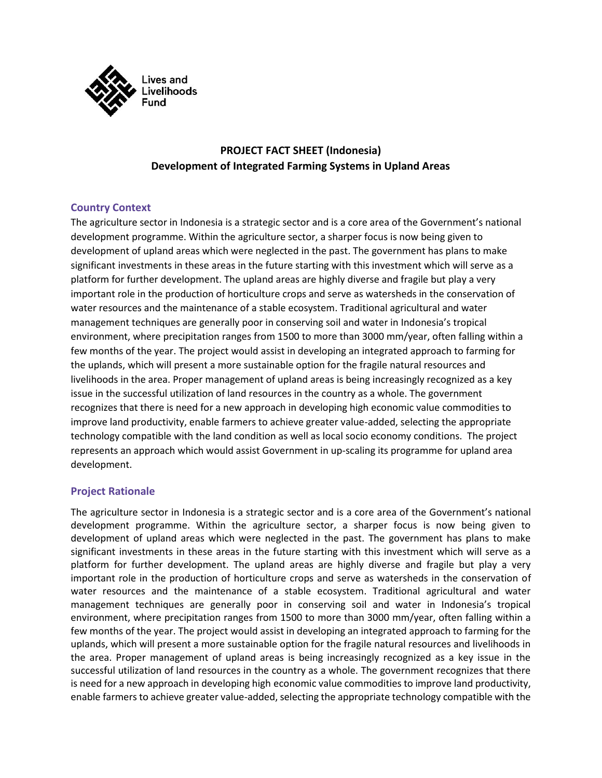

# **PROJECT FACT SHEET (Indonesia) Development of Integrated Farming Systems in Upland Areas**

## **Country Context**

The agriculture sector in Indonesia is a strategic sector and is a core area of the Government's national development programme. Within the agriculture sector, a sharper focus is now being given to development of upland areas which were neglected in the past. The government has plans to make significant investments in these areas in the future starting with this investment which will serve as a platform for further development. The upland areas are highly diverse and fragile but play a very important role in the production of horticulture crops and serve as watersheds in the conservation of water resources and the maintenance of a stable ecosystem. Traditional agricultural and water management techniques are generally poor in conserving soil and water in Indonesia's tropical environment, where precipitation ranges from 1500 to more than 3000 mm/year, often falling within a few months of the year. The project would assist in developing an integrated approach to farming for the uplands, which will present a more sustainable option for the fragile natural resources and livelihoods in the area. Proper management of upland areas is being increasingly recognized as a key issue in the successful utilization of land resources in the country as a whole. The government recognizes that there is need for a new approach in developing high economic value commodities to improve land productivity, enable farmers to achieve greater value-added, selecting the appropriate technology compatible with the land condition as well as local socio economy conditions. The project represents an approach which would assist Government in up-scaling its programme for upland area development.

### **Project Rationale**

The agriculture sector in Indonesia is a strategic sector and is a core area of the Government's national development programme. Within the agriculture sector, a sharper focus is now being given to development of upland areas which were neglected in the past. The government has plans to make significant investments in these areas in the future starting with this investment which will serve as a platform for further development. The upland areas are highly diverse and fragile but play a very important role in the production of horticulture crops and serve as watersheds in the conservation of water resources and the maintenance of a stable ecosystem. Traditional agricultural and water management techniques are generally poor in conserving soil and water in Indonesia's tropical environment, where precipitation ranges from 1500 to more than 3000 mm/year, often falling within a few months of the year. The project would assist in developing an integrated approach to farming for the uplands, which will present a more sustainable option for the fragile natural resources and livelihoods in the area. Proper management of upland areas is being increasingly recognized as a key issue in the successful utilization of land resources in the country as a whole. The government recognizes that there is need for a new approach in developing high economic value commodities to improve land productivity, enable farmers to achieve greater value-added, selecting the appropriate technology compatible with the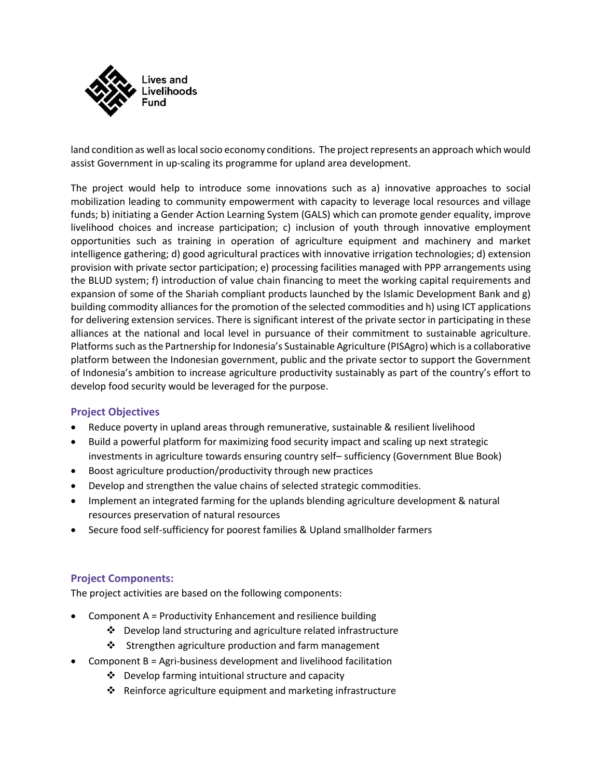

land condition as well as local socio economy conditions. The project represents an approach which would assist Government in up-scaling its programme for upland area development.

The project would help to introduce some innovations such as a) innovative approaches to social mobilization leading to community empowerment with capacity to leverage local resources and village funds; b) initiating a Gender Action Learning System (GALS) which can promote gender equality, improve livelihood choices and increase participation; c) inclusion of youth through innovative employment opportunities such as training in operation of agriculture equipment and machinery and market intelligence gathering; d) good agricultural practices with innovative irrigation technologies; d) extension provision with private sector participation; e) processing facilities managed with PPP arrangements using the BLUD system; f) introduction of value chain financing to meet the working capital requirements and expansion of some of the Shariah compliant products launched by the Islamic Development Bank and g) building commodity alliances for the promotion of the selected commodities and h) using ICT applications for delivering extension services. There is significant interest of the private sector in participating in these alliances at the national and local level in pursuance of their commitment to sustainable agriculture. Platforms such as the Partnership for Indonesia's Sustainable Agriculture (PISAgro) which is a collaborative platform between the Indonesian government, public and the private sector to support the Government of Indonesia's ambition to increase agriculture productivity sustainably as part of the country's effort to develop food security would be leveraged for the purpose.

## **Project Objectives**

- Reduce poverty in upland areas through remunerative, sustainable & resilient livelihood
- Build a powerful platform for maximizing food security impact and scaling up next strategic investments in agriculture towards ensuring country self– sufficiency (Government Blue Book)
- Boost agriculture production/productivity through new practices
- Develop and strengthen the value chains of selected strategic commodities.
- Implement an integrated farming for the uplands blending agriculture development & natural resources preservation of natural resources
- Secure food self-sufficiency for poorest families & Upland smallholder farmers

## **Project Components:**

The project activities are based on the following components:

- Component A = Productivity Enhancement and resilience building
	- ❖ Develop land structuring and agriculture related infrastructure
	- ❖ Strengthen agriculture production and farm management
- Component B = Agri-business development and livelihood facilitation
	- ❖ Develop farming intuitional structure and capacity
	- ❖ Reinforce agriculture equipment and marketing infrastructure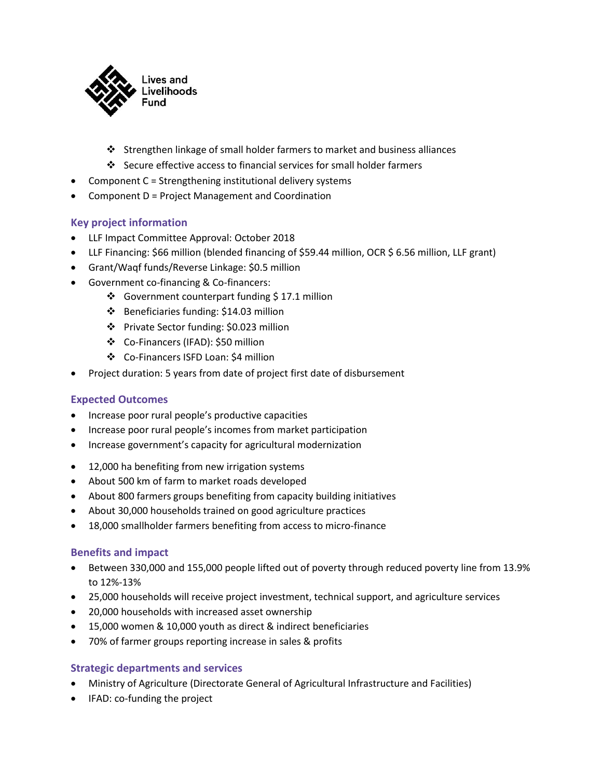

- ❖ Strengthen linkage of small holder farmers to market and business alliances
- ❖ Secure effective access to financial services for small holder farmers
- Component C = Strengthening institutional delivery systems
- Component D = Project Management and Coordination

## **Key project information**

- LLF Impact Committee Approval: October 2018
- LLF Financing: \$66 million (blended financing of \$59.44 million, OCR \$ 6.56 million, LLF grant)
- Grant/Waqf funds/Reverse Linkage: \$0.5 million
- Government co-financing & Co-financers:
	- ❖ Government counterpart funding \$ 17.1 million
	- ❖ Beneficiaries funding: \$14.03 million
	- ❖ Private Sector funding: \$0.023 million
	- ❖ Co-Financers (IFAD): \$50 million
	- ❖ Co-Financers ISFD Loan: \$4 million
- Project duration: 5 years from date of project first date of disbursement

### **Expected Outcomes**

- Increase poor rural people's productive capacities
- Increase poor rural people's incomes from market participation
- Increase government's capacity for agricultural modernization
- 12,000 ha benefiting from new irrigation systems
- About 500 km of farm to market roads developed
- About 800 farmers groups benefiting from capacity building initiatives
- About 30,000 households trained on good agriculture practices
- 18,000 smallholder farmers benefiting from access to micro-finance

### **Benefits and impact**

- Between 330,000 and 155,000 people lifted out of poverty through reduced poverty line from 13.9% to 12%-13%
- 25,000 households will receive project investment, technical support, and agriculture services
- 20,000 households with increased asset ownership
- 15,000 women & 10,000 youth as direct & indirect beneficiaries
- 70% of farmer groups reporting increase in sales & profits

### **Strategic departments and services**

- Ministry of Agriculture (Directorate General of Agricultural Infrastructure and Facilities)
- IFAD: co-funding the project